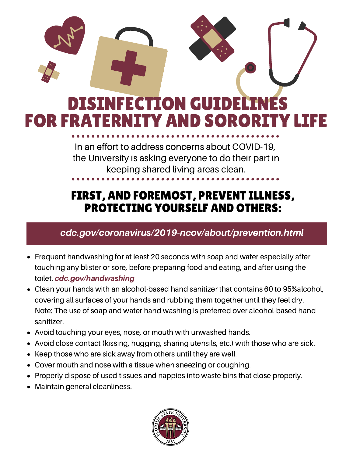# DISINFECTION GUIDELI FOR FRATERNITY AND SORO

In an effort to address concerns about COVID-19, the University is asking everyone to do their part in keeping shared living areas clean.

### FIRST, AND FOREMOST, PREVENT ILLNESS, PROTECTING YOURSELF AND OTHERS:

#### [cdc.gov/coronavirus/2019-ncov/about/prevention.html](https://www.cdc.gov/coronavirus/2019-ncov/about/prevention.html)

- Frequent handwashing for at least 20 seconds with soap and water especially after touching any blister or sore, before preparing food and eating, and after using the toilet. [cdc.gov/handwashing](https://www.cdc.gov/handwashing/)
- Clean your hands with an alcohol-based hand sanitizer that contains 60 to 95%alcohol, covering all surfaces of your hands and rubbing them together until they feel dry. Note: The use of soap and water hand washing is preferred over alcohol-based hand sanitizer.
- Avoid touching your eyes, nose, or mouth with unwashed hands.
- Avoid close contact (kissing, hugging, sharing utensils, etc.) with those who are sick.
- Keep those who are sick away from others until they are well.
- Cover mouth and nose with a tissue when sneezing or coughing.
- Properly dispose of used tissues and nappies into waste bins that close properly.
- Maintain general cleanliness.